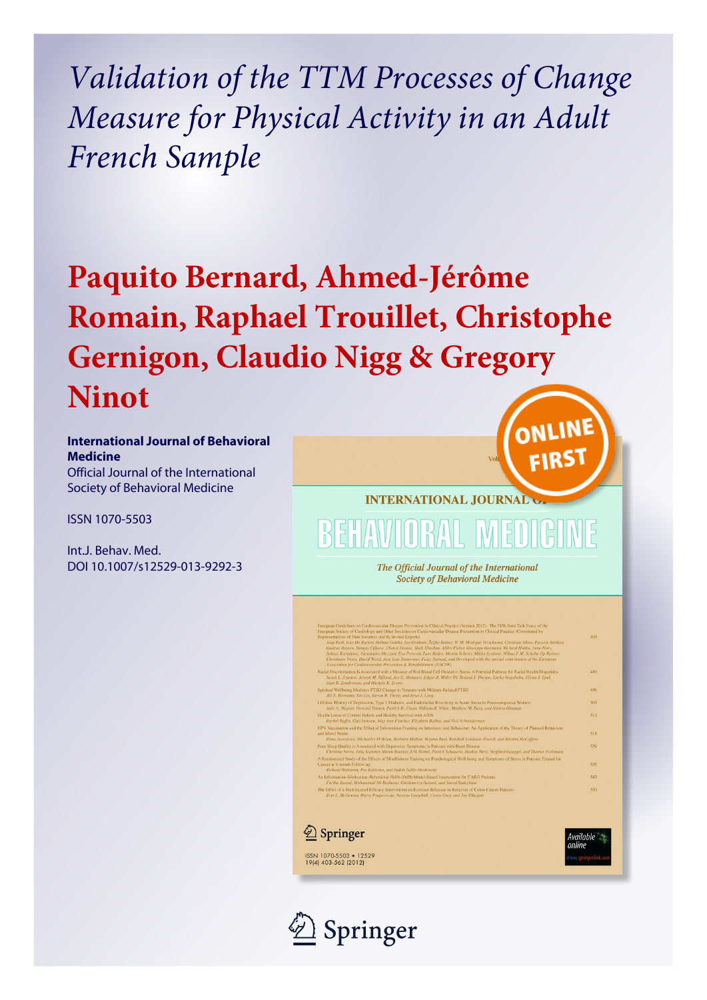*Validation of the TTM Processes of Change Measure for Physical Activity in an Adult French Sample*

# **Paquito Bernard, Ahmed-Jérôme Romain, Raphael Trouillet, Christophe Gernigon, Claudio Nigg & Gregory Ninot**

# **International Journal of Behavioral Medicine**

Official Journal of the International Society of Behavioral Medicine

ISSN 1070-5503

Int.J. Behav. Med. DOI 10.1007/s12529-013-9292-3



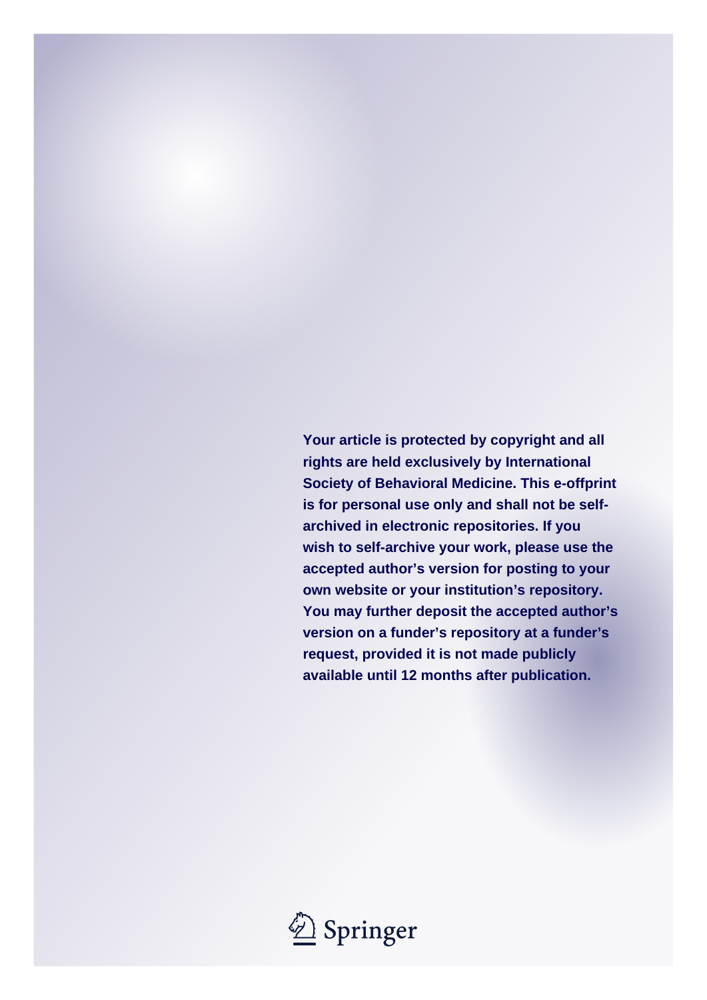**Your article is protected by copyright and all rights are held exclusively by International Society of Behavioral Medicine. This e-offprint is for personal use only and shall not be selfarchived in electronic repositories. If you wish to self-archive your work, please use the accepted author's version for posting to your own website or your institution's repository. You may further deposit the accepted author's version on a funder's repository at a funder's request, provided it is not made publicly available until 12 months after publication.**

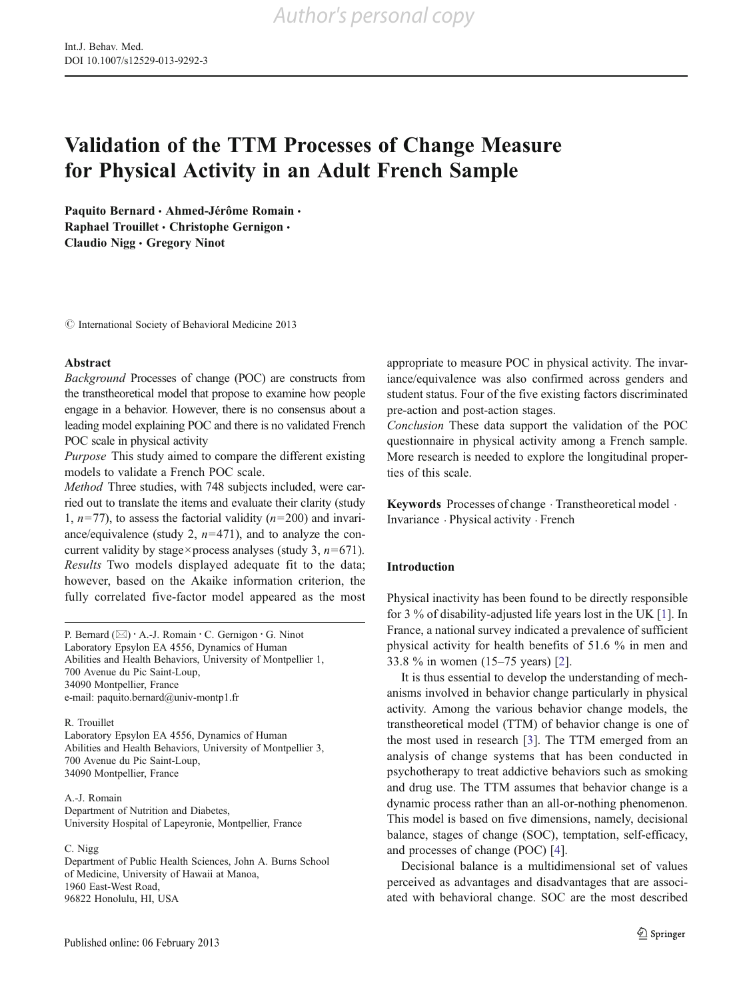# Validation of the TTM Processes of Change Measure for Physical Activity in an Adult French Sample

Paquito Bernard · Ahmed-Jérôme Romain · Raphael Trouillet · Christophe Gernigon · Claudio Nigg & Gregory Ninot

 $\circ$  International Society of Behavioral Medicine 2013

#### Abstract

Background Processes of change (POC) are constructs from the transtheoretical model that propose to examine how people engage in a behavior. However, there is no consensus about a leading model explaining POC and there is no validated French POC scale in physical activity

Purpose This study aimed to compare the different existing models to validate a French POC scale.

Method Three studies, with 748 subjects included, were carried out to translate the items and evaluate their clarity (study 1,  $n=77$ ), to assess the factorial validity ( $n=200$ ) and invariance/equivalence (study 2,  $n=471$ ), and to analyze the concurrent validity by stage×process analyses (study 3,  $n=671$ ). Results Two models displayed adequate fit to the data; however, based on the Akaike information criterion, the fully correlated five-factor model appeared as the most

P. Bernard  $(\boxtimes) \cdot A$ .-J. Romain  $\cdot$  C. Gernigon  $\cdot$  G. Ninot Laboratory Epsylon EA 4556, Dynamics of Human Abilities and Health Behaviors, University of Montpellier 1, 700 Avenue du Pic Saint-Loup, 34090 Montpellier, France e-mail: paquito.bernard@univ-montp1.fr

#### R. Trouillet

Laboratory Epsylon EA 4556, Dynamics of Human Abilities and Health Behaviors, University of Montpellier 3, 700 Avenue du Pic Saint-Loup, 34090 Montpellier, France

#### A.-J. Romain Department of Nutrition and Diabetes

University Hospital of Lapeyronie, Montpellier, France

#### C. Nigg

Department of Public Health Sciences, John A. Burns School of Medicine, University of Hawaii at Manoa, 1960 East-West Road, 96822 Honolulu, HI, USA

appropriate to measure POC in physical activity. The invariance/equivalence was also confirmed across genders and student status. Four of the five existing factors discriminated pre-action and post-action stages.

Conclusion These data support the validation of the POC questionnaire in physical activity among a French sample. More research is needed to explore the longitudinal properties of this scale.

Keywords Processes of change  $\cdot$  Transtheoretical model  $\cdot$ Invariance . Physical activity . French

# Introduction

Physical inactivity has been found to be directly responsible for 3 % of disability-adjusted life years lost in the UK [[1\]](#page-9-0). In France, a national survey indicated a prevalence of sufficient physical activity for health benefits of 51.6 % in men and 33.8 % in women (15–75 years) [\[2](#page-9-0)].

It is thus essential to develop the understanding of mechanisms involved in behavior change particularly in physical activity. Among the various behavior change models, the transtheoretical model (TTM) of behavior change is one of the most used in research [\[3](#page-9-0)]. The TTM emerged from an analysis of change systems that has been conducted in psychotherapy to treat addictive behaviors such as smoking and drug use. The TTM assumes that behavior change is a dynamic process rather than an all-or-nothing phenomenon. This model is based on five dimensions, namely, decisional balance, stages of change (SOC), temptation, self-efficacy, and processes of change (POC) [[4\]](#page-9-0).

Decisional balance is a multidimensional set of values perceived as advantages and disadvantages that are associated with behavioral change. SOC are the most described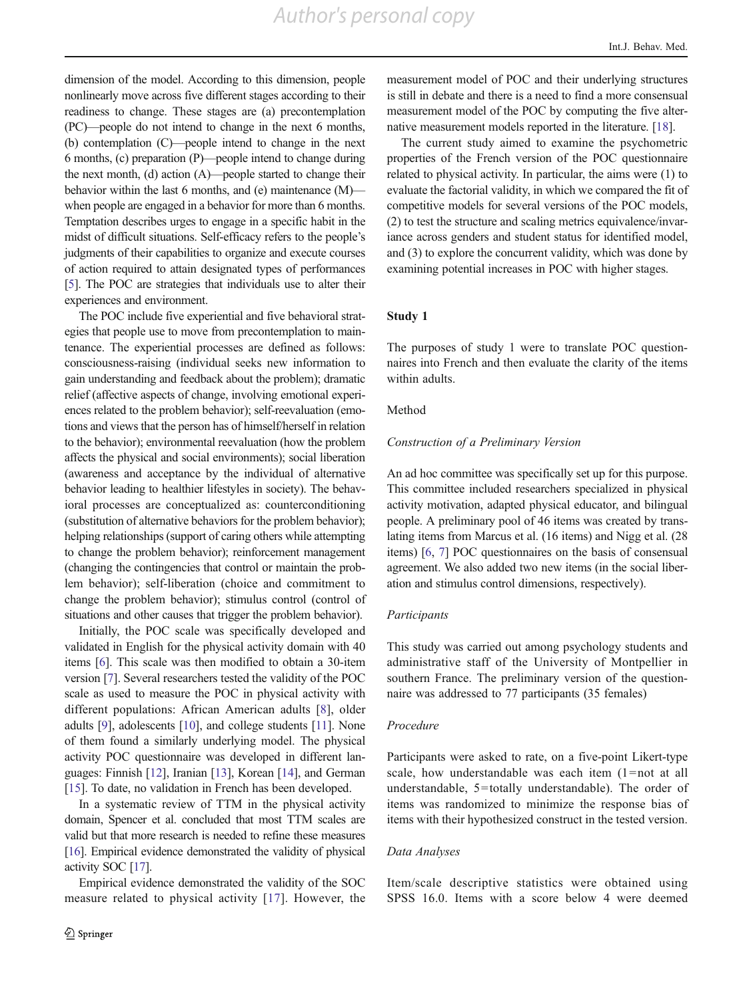dimension of the model. According to this dimension, people nonlinearly move across five different stages according to their readiness to change. These stages are (a) precontemplation (PC)—people do not intend to change in the next 6 months, (b) contemplation (C)—people intend to change in the next 6 months, (c) preparation (P)—people intend to change during the next month, (d) action (A)—people started to change their behavior within the last 6 months, and (e) maintenance (M) when people are engaged in a behavior for more than 6 months. Temptation describes urges to engage in a specific habit in the midst of difficult situations. Self-efficacy refers to the people's judgments of their capabilities to organize and execute courses of action required to attain designated types of performances [\[5\]](#page-9-0). The POC are strategies that individuals use to alter their experiences and environment.

The POC include five experiential and five behavioral strategies that people use to move from precontemplation to maintenance. The experiential processes are defined as follows: consciousness-raising (individual seeks new information to gain understanding and feedback about the problem); dramatic relief (affective aspects of change, involving emotional experiences related to the problem behavior); self-reevaluation (emotions and views that the person has of himself/herself in relation to the behavior); environmental reevaluation (how the problem affects the physical and social environments); social liberation (awareness and acceptance by the individual of alternative behavior leading to healthier lifestyles in society). The behavioral processes are conceptualized as: counterconditioning (substitution of alternative behaviors for the problem behavior); helping relationships(support of caring others while attempting to change the problem behavior); reinforcement management (changing the contingencies that control or maintain the problem behavior); self-liberation (choice and commitment to change the problem behavior); stimulus control (control of situations and other causes that trigger the problem behavior).

Initially, the POC scale was specifically developed and validated in English for the physical activity domain with 40 items [\[6](#page-9-0)]. This scale was then modified to obtain a 30-item version [\[7\]](#page-9-0). Several researchers tested the validity of the POC scale as used to measure the POC in physical activity with different populations: African American adults [\[8](#page-9-0)], older adults [\[9](#page-9-0)], adolescents [[10\]](#page-9-0), and college students [[11](#page-9-0)]. None of them found a similarly underlying model. The physical activity POC questionnaire was developed in different languages: Finnish [[12](#page-9-0)], Iranian [\[13\]](#page-9-0), Korean [[14](#page-9-0)], and German [\[15\]](#page-9-0). To date, no validation in French has been developed.

In a systematic review of TTM in the physical activity domain, Spencer et al. concluded that most TTM scales are valid but that more research is needed to refine these measures [\[16](#page-9-0)]. Empirical evidence demonstrated the validity of physical activity SOC [[17\]](#page-9-0).

Empirical evidence demonstrated the validity of the SOC measure related to physical activity [[17](#page-9-0)]. However, the measurement model of POC and their underlying structures is still in debate and there is a need to find a more consensual measurement model of the POC by computing the five alternative measurement models reported in the literature. [\[18](#page-9-0)].

The current study aimed to examine the psychometric properties of the French version of the POC questionnaire related to physical activity. In particular, the aims were (1) to evaluate the factorial validity, in which we compared the fit of competitive models for several versions of the POC models, (2) to test the structure and scaling metrics equivalence/invariance across genders and student status for identified model, and (3) to explore the concurrent validity, which was done by examining potential increases in POC with higher stages.

# Study 1

The purposes of study 1 were to translate POC questionnaires into French and then evaluate the clarity of the items within adults.

## Method

## Construction of a Preliminary Version

An ad hoc committee was specifically set up for this purpose. This committee included researchers specialized in physical activity motivation, adapted physical educator, and bilingual people. A preliminary pool of 46 items was created by translating items from Marcus et al. (16 items) and Nigg et al. (28 items) [\[6](#page-9-0), [7\]](#page-9-0) POC questionnaires on the basis of consensual agreement. We also added two new items (in the social liberation and stimulus control dimensions, respectively).

## Participants

This study was carried out among psychology students and administrative staff of the University of Montpellier in southern France. The preliminary version of the questionnaire was addressed to 77 participants (35 females)

## Procedure

Participants were asked to rate, on a five-point Likert-type scale, how understandable was each item (1=not at all understandable, 5=totally understandable). The order of items was randomized to minimize the response bias of items with their hypothesized construct in the tested version.

## Data Analyses

Item/scale descriptive statistics were obtained using SPSS 16.0. Items with a score below 4 were deemed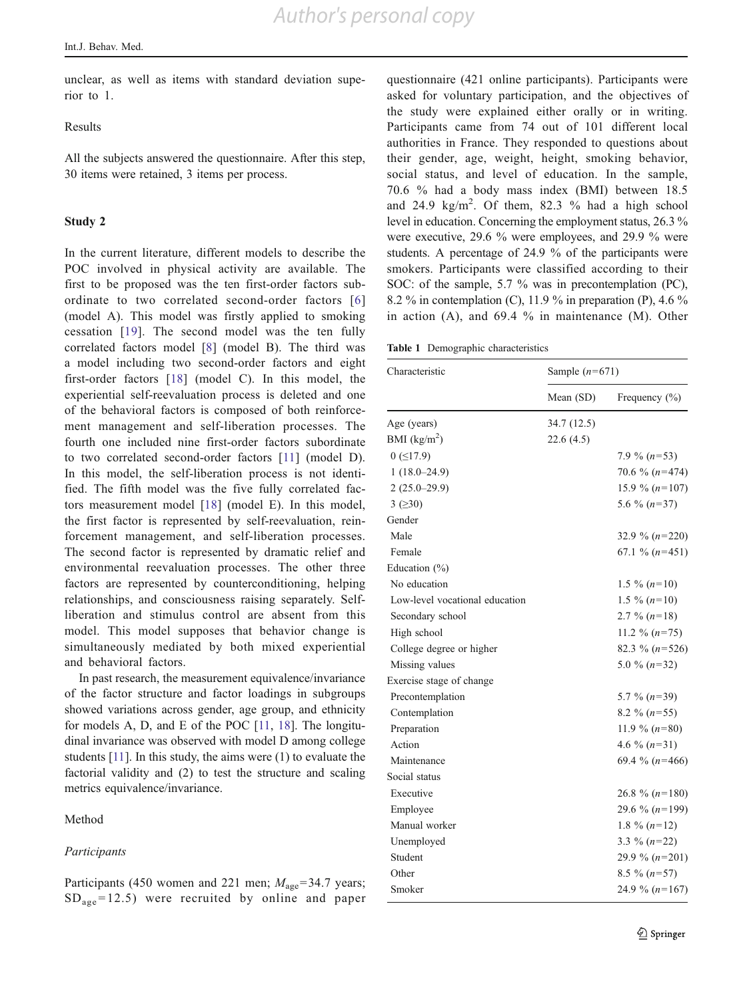<span id="page-4-0"></span>unclear, as well as items with standard deviation superior to 1.

# Results

All the subjects answered the questionnaire. After this step, 30 items were retained, 3 items per process.

# Study 2

In the current literature, different models to describe the POC involved in physical activity are available. The first to be proposed was the ten first-order factors subordinate to two correlated second-order factors [[6\]](#page-9-0) (model A). This model was firstly applied to smoking cessation [[19\]](#page-9-0). The second model was the ten fully correlated factors model [[8](#page-9-0)] (model B). The third was a model including two second-order factors and eight first-order factors [[18](#page-9-0)] (model C). In this model, the experiential self-reevaluation process is deleted and one of the behavioral factors is composed of both reinforcement management and self-liberation processes. The fourth one included nine first-order factors subordinate to two correlated second-order factors [[11\]](#page-9-0) (model D). In this model, the self-liberation process is not identified. The fifth model was the five fully correlated factors measurement model [[18](#page-9-0)] (model E). In this model, the first factor is represented by self-reevaluation, reinforcement management, and self-liberation processes. The second factor is represented by dramatic relief and environmental reevaluation processes. The other three factors are represented by counterconditioning, helping relationships, and consciousness raising separately. Selfliberation and stimulus control are absent from this model. This model supposes that behavior change is simultaneously mediated by both mixed experiential and behavioral factors.

In past research, the measurement equivalence/invariance of the factor structure and factor loadings in subgroups showed variations across gender, age group, and ethnicity for models A, D, and E of the POC [\[11](#page-9-0), [18\]](#page-9-0). The longitudinal invariance was observed with model D among college students [\[11\]](#page-9-0). In this study, the aims were (1) to evaluate the factorial validity and (2) to test the structure and scaling metrics equivalence/invariance.

# Method

## Participants

Participants (450 women and 221 men;  $M_{\text{age}}$ =34.7 years;  $SD<sub>age</sub>=12.5$ ) were recruited by online and paper questionnaire (421 online participants). Participants were asked for voluntary participation, and the objectives of the study were explained either orally or in writing. Participants came from 74 out of 101 different local authorities in France. They responded to questions about their gender, age, weight, height, smoking behavior, social status, and level of education. In the sample, 70.6 % had a body mass index (BMI) between 18.5 and  $24.9 \text{ kg/m}^2$ . Of them,  $82.3 \%$  had a high school level in education. Concerning the employment status, 26.3 % were executive, 29.6 % were employees, and 29.9 % were students. A percentage of 24.9 % of the participants were smokers. Participants were classified according to their SOC: of the sample, 5.7 % was in precontemplation (PC), 8.2 % in contemplation (C), 11.9 % in preparation (P), 4.6 % in action (A), and 69.4 % in maintenance (M). Other

Table 1 Demographic characteristics

| Characteristic                 | Sample $(n=671)$ |                            |  |  |  |
|--------------------------------|------------------|----------------------------|--|--|--|
|                                | Mean (SD)        | Frequency $(\% )$          |  |  |  |
| Age (years)                    | 34.7 (12.5)      |                            |  |  |  |
| BMI $(kg/m2)$                  | 22.6(4.5)        |                            |  |  |  |
| $0( \leq 17.9)$                |                  | 7.9 % $(n=53)$             |  |  |  |
| $1(18.0-24.9)$                 |                  | 70.6 $\frac{9}{6}$ (n=474) |  |  |  |
| $2(25.0-29.9)$                 |                  | 15.9 % $(n=107)$           |  |  |  |
| 3 (230)                        |                  | 5.6 % $(n=37)$             |  |  |  |
| Gender                         |                  |                            |  |  |  |
| Male                           |                  | 32.9 % $(n=220)$           |  |  |  |
| Female                         |                  | 67.1 % $(n=451)$           |  |  |  |
| Education $(\% )$              |                  |                            |  |  |  |
| No education                   |                  | 1.5 % $(n=10)$             |  |  |  |
| Low-level vocational education |                  | 1.5 % $(n=10)$             |  |  |  |
| Secondary school               |                  | 2.7 % $(n=18)$             |  |  |  |
| High school                    |                  | 11.2 % $(n=75)$            |  |  |  |
| College degree or higher       |                  | 82.3 % $(n=526)$           |  |  |  |
| Missing values                 |                  | 5.0 % $(n=32)$             |  |  |  |
| Exercise stage of change       |                  |                            |  |  |  |
| Precontemplation               |                  | 5.7 % $(n=39)$             |  |  |  |
| Contemplation                  |                  | 8.2 % $(n=55)$             |  |  |  |
| Preparation                    |                  | 11.9 % $(n=80)$            |  |  |  |
| Action                         |                  | 4.6 % $(n=31)$             |  |  |  |
| Maintenance                    |                  | 69.4 % $(n=466)$           |  |  |  |
| Social status                  |                  |                            |  |  |  |
| Executive                      |                  | 26.8 % $(n=180)$           |  |  |  |
| Employee                       |                  | 29.6 % $(n=199)$           |  |  |  |
| Manual worker                  |                  | 1.8 % $(n=12)$             |  |  |  |
| Unemployed                     |                  | 3.3 % $(n=22)$             |  |  |  |
| Student                        |                  | 29.9 % $(n=201)$           |  |  |  |
| Other                          |                  | 8.5 % $(n=57)$             |  |  |  |
| Smoker                         |                  | 24.9 % $(n=167)$           |  |  |  |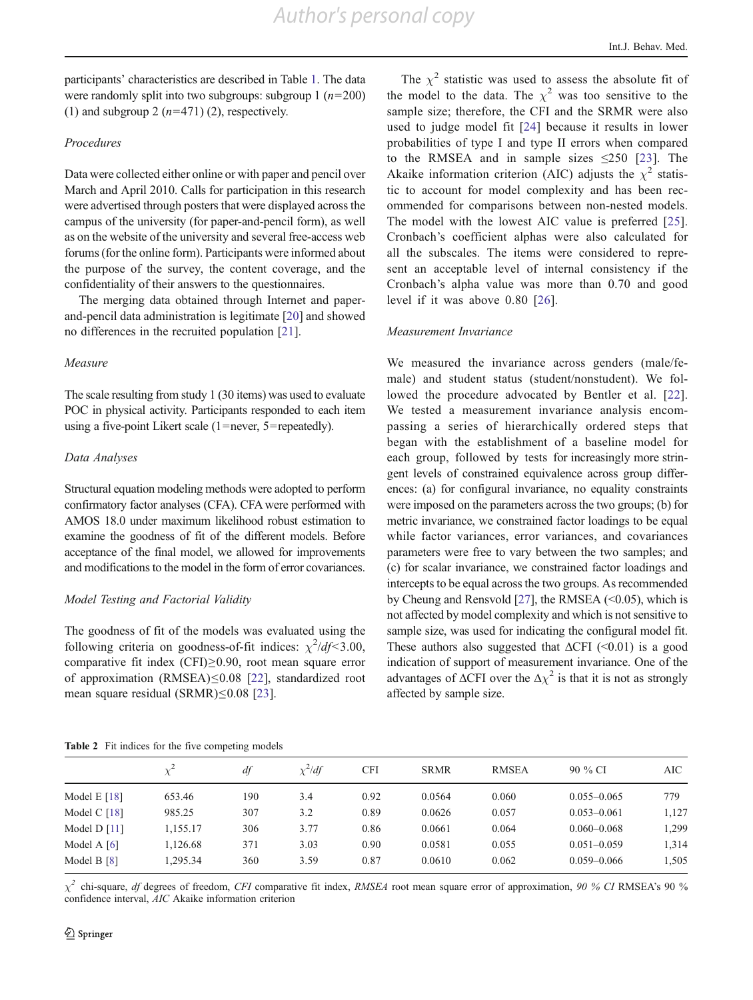<span id="page-5-0"></span>participants' characteristics are described in Table [1.](#page-4-0) The data were randomly split into two subgroups: subgroup 1 ( $n=200$ ) (1) and subgroup 2  $(n=471)$  (2), respectively.

# Procedures

Data were collected either online or with paper and pencil over March and April 2010. Calls for participation in this research were advertised through posters that were displayed across the campus of the university (for paper-and-pencil form), as well as on the website of the university and several free-access web forums (for the online form). Participants were informed about the purpose of the survey, the content coverage, and the confidentiality of their answers to the questionnaires.

The merging data obtained through Internet and paperand-pencil data administration is legitimate [[20\]](#page-10-0) and showed no differences in the recruited population [[21\]](#page-10-0).

# Measure

The scale resulting from study 1 (30 items) was used to evaluate POC in physical activity. Participants responded to each item using a five-point Likert scale (1=never, 5=repeatedly).

## Data Analyses

Structural equation modeling methods were adopted to perform confirmatory factor analyses (CFA). CFA were performed with AMOS 18.0 under maximum likelihood robust estimation to examine the goodness of fit of the different models. Before acceptance of the final model, we allowed for improvements and modifications to the model in the form of error covariances.

# Model Testing and Factorial Validity

The goodness of fit of the models was evaluated using the following criteria on goodness-of-fit indices:  $\chi^2/df < 3.00$ , comparative fit index (CFI)≥0.90, root mean square error of approximation (RMSEA)≤0.08 [[22\]](#page-10-0), standardized root mean square residual (SRMR)≤0.08 [\[23](#page-10-0)].

The  $\chi^2$  statistic was used to assess the absolute fit of the model to the data. The  $\chi^2$  was too sensitive to the sample size; therefore, the CFI and the SRMR were also used to judge model fit [\[24\]](#page-10-0) because it results in lower probabilities of type I and type II errors when compared to the RMSEA and in sample sizes  $\leq$ 250 [[23](#page-10-0)]. The Akaike information criterion (AIC) adjusts the  $\chi^2$  statistic to account for model complexity and has been recommended for comparisons between non-nested models. The model with the lowest AIC value is preferred [\[25](#page-10-0)]. Cronbach's coefficient alphas were also calculated for all the subscales. The items were considered to represent an acceptable level of internal consistency if the Cronbach's alpha value was more than 0.70 and good level if it was above 0.80 [\[26\]](#page-10-0).

#### Measurement Invariance

We measured the invariance across genders (male/female) and student status (student/nonstudent). We followed the procedure advocated by Bentler et al. [\[22](#page-10-0)]. We tested a measurement invariance analysis encompassing a series of hierarchically ordered steps that began with the establishment of a baseline model for each group, followed by tests for increasingly more stringent levels of constrained equivalence across group differences: (a) for configural invariance, no equality constraints were imposed on the parameters across the two groups; (b) for metric invariance, we constrained factor loadings to be equal while factor variances, error variances, and covariances parameters were free to vary between the two samples; and (c) for scalar invariance, we constrained factor loadings and intercepts to be equal across the two groups. As recommended by Cheung and Rensvold [\[27\]](#page-10-0), the RMSEA  $( $0.05$ ), which is$ not affected by model complexity and which is not sensitive to sample size, was used for indicating the configural model fit. These authors also suggested that  $\Delta$ CFI (<0.01) is a good indication of support of measurement invariance. One of the advantages of  $\Delta$ CFI over the  $\Delta \chi^2$  is that it is not as strongly affected by sample size.

| $\gamma^2$ | df  | $\chi^2/df$ | <b>CFI</b> | <b>SRMR</b> | <b>RMSEA</b> | 90 % CI         | AIC   |
|------------|-----|-------------|------------|-------------|--------------|-----------------|-------|
| 653.46     | 190 | 3.4         | 0.92       | 0.0564      | 0.060        | $0.055 - 0.065$ | 779   |
| 985.25     | 307 | 3.2         | 0.89       | 0.0626      | 0.057        | $0.053 - 0.061$ | 1,127 |
| 1,155.17   | 306 | 3.77        | 0.86       | 0.0661      | 0.064        | $0.060 - 0.068$ | 1,299 |
| 1,126.68   | 371 | 3.03        | 0.90       | 0.0581      | 0.055        | $0.051 - 0.059$ | 1,314 |
| .295.34    | 360 | 3.59        | 0.87       | 0.0610      | 0.062        | $0.059 - 0.066$ | 1,505 |
|            |     |             |            |             |              |                 |       |

Table 2 Fit indices for the five competing models

 $\chi^2$  chi-square, df degrees of freedom, CFI comparative fit index, RMSEA root mean square error of approximation, 90 % CI RMSEA's 90 % confidence interval, AIC Akaike information criterion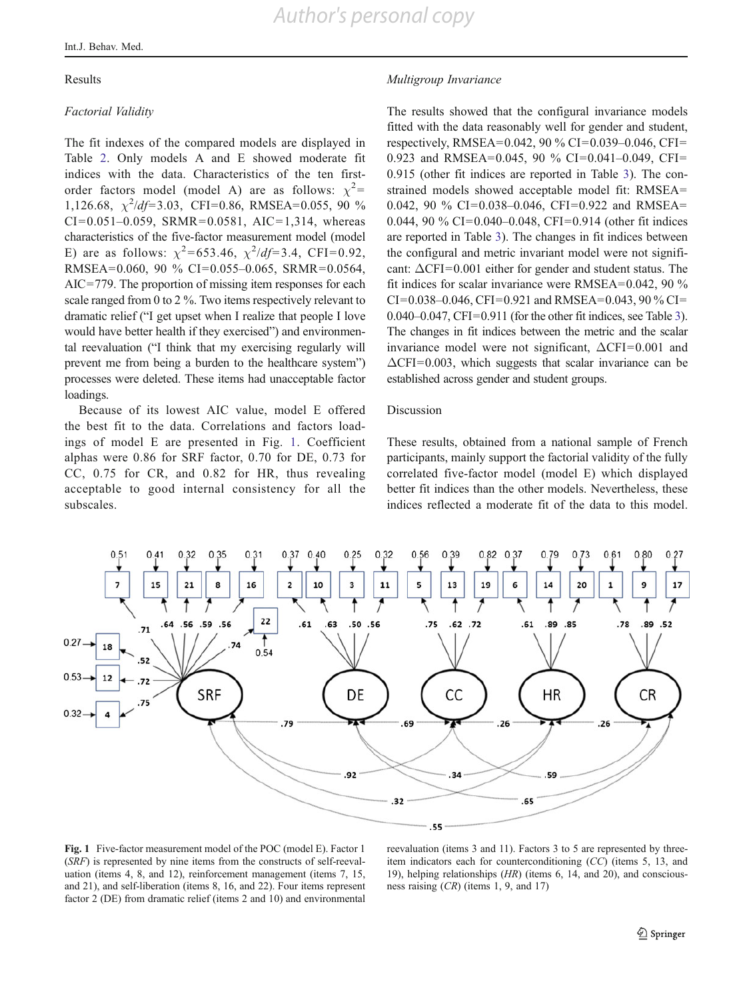# Results

# Factorial Validity

The fit indexes of the compared models are displayed in Table [2](#page-5-0). Only models A and E showed moderate fit indices with the data. Characteristics of the ten firstorder factors model (model A) are as follows:  $\chi^2$ = 1,126.68,  $\chi^2/df = 3.03$ , CFI=0.86, RMSEA=0.055, 90 %  $CI=0.051-0.059$ ,  $SRMR=0.0581$ ,  $AIC=1,314$ , whereas characteristics of the five-factor measurement model (model E) are as follows:  $\chi^2 = 653.46$ ,  $\chi^2/df = 3.4$ , CFI=0.92, RMSEA=0.060, 90 % CI=0.055–0.065, SRMR=0.0564, AIC=779. The proportion of missing item responses for each scale ranged from 0 to 2 %. Two items respectively relevant to dramatic relief ("I get upset when I realize that people I love would have better health if they exercised") and environmental reevaluation ("I think that my exercising regularly will prevent me from being a burden to the healthcare system") processes were deleted. These items had unacceptable factor loadings.

Because of its lowest AIC value, model E offered the best fit to the data. Correlations and factors loadings of model E are presented in Fig. 1. Coefficient alphas were 0.86 for SRF factor, 0.70 for DE, 0.73 for CC, 0.75 for CR, and 0.82 for HR, thus revealing acceptable to good internal consistency for all the subscales.

The results showed that the configural invariance models fitted with the data reasonably well for gender and student, respectively, RMSEA=0.042, 90 % CI=0.039–0.046, CFI= 0.923 and RMSEA=0.045, 90 % CI=0.041–0.049, CFI= 0.915 (other fit indices are reported in Table [3](#page-7-0)). The constrained models showed acceptable model fit: RMSEA= 0.042, 90 % CI=0.038–0.046, CFI=0.922 and RMSEA= 0.044, 90 % CI=0.040–0.048, CFI=0.914 (other fit indices are reported in Table [3\)](#page-7-0). The changes in fit indices between the configural and metric invariant model were not significant:  $\Delta$ CFI=0.001 either for gender and student status. The fit indices for scalar invariance were RMSEA=0.042, 90 % CI=0.038–0.046, CFI=0.921 and RMSEA=0.043, 90 % CI= 0.040–0.047, CFI=0.911 (for the other fit indices, see Table [3\)](#page-7-0). The changes in fit indices between the metric and the scalar invariance model were not significant,  $\Delta$ CFI=0.001 and  $\Delta$ CFI=0.003, which suggests that scalar invariance can be established across gender and student groups.

## Discussion

These results, obtained from a national sample of French participants, mainly support the factorial validity of the fully correlated five-factor model (model E) which displayed better fit indices than the other models. Nevertheless, these indices reflected a moderate fit of the data to this model.



Fig. 1 Five-factor measurement model of the POC (model E). Factor 1 (SRF) is represented by nine items from the constructs of self-reevaluation (items 4, 8, and 12), reinforcement management (items 7, 15, and 21), and self-liberation (items 8, 16, and 22). Four items represent factor 2 (DE) from dramatic relief (items 2 and 10) and environmental

reevaluation (items 3 and 11). Factors 3 to 5 are represented by threeitem indicators each for counterconditioning (CC) (items 5, 13, and 19), helping relationships (HR) (items 6, 14, and 20), and consciousness raising (CR) (items 1, 9, and 17)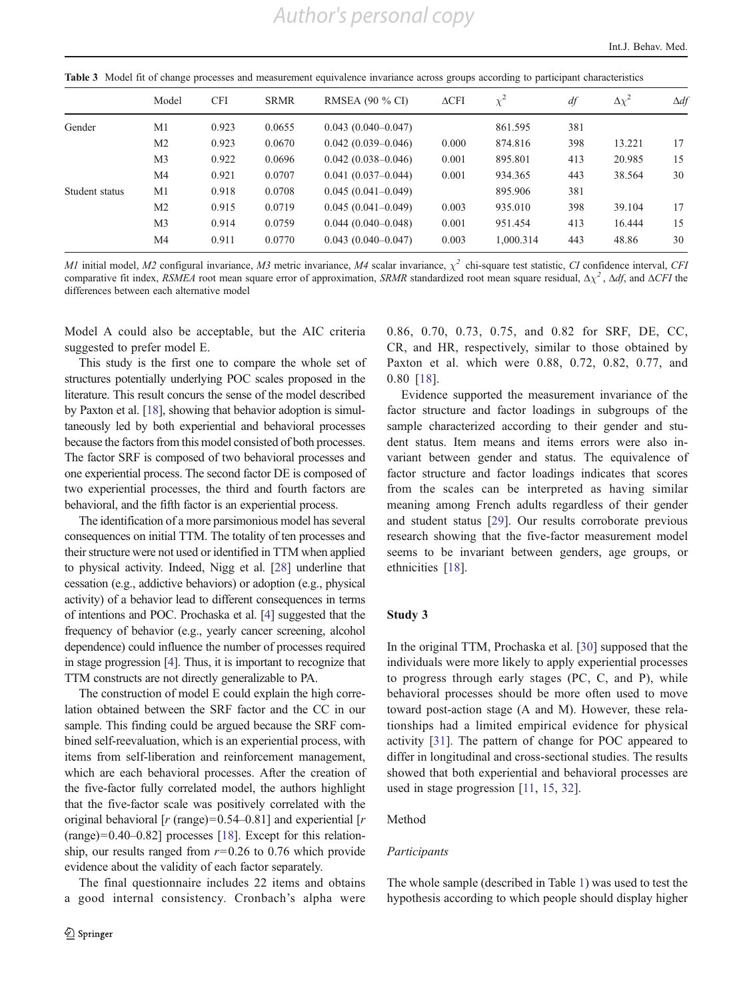# *Author's personal copy*

<span id="page-7-0"></span>

|  |  |  |  |  | Table 3 Model fit of change processes and measurement equivalence invariance across groups according to participant characteristics |
|--|--|--|--|--|-------------------------------------------------------------------------------------------------------------------------------------|
|--|--|--|--|--|-------------------------------------------------------------------------------------------------------------------------------------|

|                | Model          | <b>CFI</b> | <b>SRMR</b> | <b>RMSEA (90 % CI)</b> | $\triangle CFI$ | $\chi^2$  | df  | $\Delta \chi^2$ | $\Delta df$ |
|----------------|----------------|------------|-------------|------------------------|-----------------|-----------|-----|-----------------|-------------|
| Gender         | M1             | 0.923      | 0.0655      | $0.043(0.040-0.047)$   |                 | 861.595   | 381 |                 |             |
|                | M <sub>2</sub> | 0.923      | 0.0670      | $0.042(0.039-0.046)$   | 0.000           | 874.816   | 398 | 13.221          | 17          |
|                | M <sub>3</sub> | 0.922      | 0.0696      | $0.042(0.038 - 0.046)$ | 0.001           | 895.801   | 413 | 20.985          | 15          |
|                | M4             | 0.921      | 0.0707      | $0.041(0.037-0.044)$   | 0.001           | 934.365   | 443 | 38.564          | 30          |
| Student status | M1             | 0.918      | 0.0708      | $0.045(0.041-0.049)$   |                 | 895.906   | 381 |                 |             |
|                | M2             | 0.915      | 0.0719      | $0.045(0.041-0.049)$   | 0.003           | 935.010   | 398 | 39.104          | 17          |
|                | M <sub>3</sub> | 0.914      | 0.0759      | $0.044(0.040-0.048)$   | 0.001           | 951.454   | 413 | 16.444          | 15          |
|                | M4             | 0.911      | 0.0770      | $0.043(0.040-0.047)$   | 0.003           | 1,000.314 | 443 | 48.86           | 30          |

M1 initial model, M2 configural invariance, M3 metric invariance, M4 scalar invariance,  $\chi^2$  chi-square test statistic, CI confidence interval, CFI comparative fit index, RSMEA root mean square error of approximation, SRMR standardized root mean square residual,  $\Delta \chi^2$ ,  $\Delta df$ , and  $\Delta CFI$  the differences between each alternative model

Model A could also be acceptable, but the AIC criteria suggested to prefer model E.

This study is the first one to compare the whole set of structures potentially underlying POC scales proposed in the literature. This result concurs the sense of the model described by Paxton et al. [\[18\]](#page-9-0), showing that behavior adoption is simultaneously led by both experiential and behavioral processes because the factors from this model consisted of both processes. The factor SRF is composed of two behavioral processes and one experiential process. The second factor DE is composed of two experiential processes, the third and fourth factors are behavioral, and the fifth factor is an experiential process.

The identification of a more parsimonious model has several consequences on initial TTM. The totality of ten processes and their structure were not used or identified in TTM when applied to physical activity. Indeed, Nigg et al. [\[28\]](#page-10-0) underline that cessation (e.g., addictive behaviors) or adoption (e.g., physical activity) of a behavior lead to different consequences in terms of intentions and POC. Prochaska et al. [\[4](#page-9-0)] suggested that the frequency of behavior (e.g., yearly cancer screening, alcohol dependence) could influence the number of processes required in stage progression [[4\]](#page-9-0). Thus, it is important to recognize that TTM constructs are not directly generalizable to PA.

The construction of model E could explain the high correlation obtained between the SRF factor and the CC in our sample. This finding could be argued because the SRF combined self-reevaluation, which is an experiential process, with items from self-liberation and reinforcement management, which are each behavioral processes. After the creation of the five-factor fully correlated model, the authors highlight that the five-factor scale was positively correlated with the original behavioral  $[r \text{ (range)}=0.54-0.81]$  and experiential  $[r \text{ }$  $(range)=0.40-0.82$ ] processes [\[18](#page-9-0)]. Except for this relationship, our results ranged from  $r=0.26$  to 0.76 which provide evidence about the validity of each factor separately.

The final questionnaire includes 22 items and obtains a good internal consistency. Cronbach's alpha were 0.86, 0.70, 0.73, 0.75, and 0.82 for SRF, DE, CC, CR, and HR, respectively, similar to those obtained by Paxton et al. which were 0.88, 0.72, 0.82, 0.77, and 0.80 [[18\]](#page-9-0).

Evidence supported the measurement invariance of the factor structure and factor loadings in subgroups of the sample characterized according to their gender and student status. Item means and items errors were also invariant between gender and status. The equivalence of factor structure and factor loadings indicates that scores from the scales can be interpreted as having similar meaning among French adults regardless of their gender and student status [[29\]](#page-10-0). Our results corroborate previous research showing that the five-factor measurement model seems to be invariant between genders, age groups, or ethnicities [\[18](#page-9-0)].

#### Study 3

In the original TTM, Prochaska et al. [\[30](#page-10-0)] supposed that the individuals were more likely to apply experiential processes to progress through early stages (PC, C, and P), while behavioral processes should be more often used to move toward post-action stage (A and M). However, these relationships had a limited empirical evidence for physical activity [[31\]](#page-10-0). The pattern of change for POC appeared to differ in longitudinal and cross-sectional studies. The results showed that both experiential and behavioral processes are used in stage progression [[11](#page-9-0), [15,](#page-9-0) [32](#page-10-0)].

# Method

#### Participants

The whole sample (described in Table [1\)](#page-4-0) was used to test the hypothesis according to which people should display higher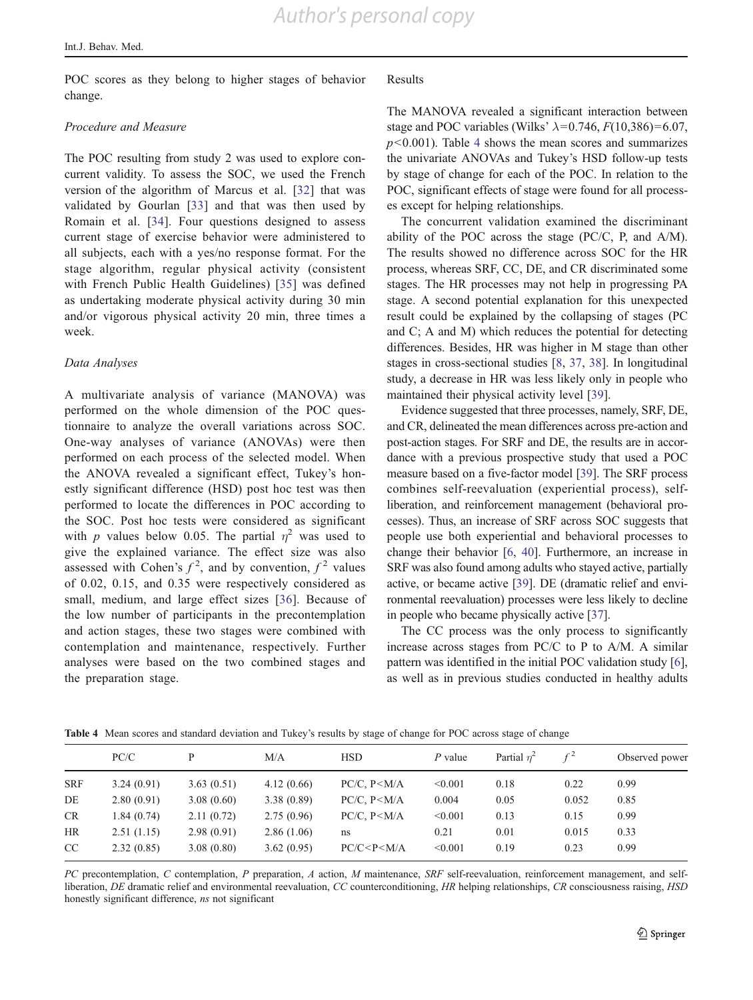POC scores as they belong to higher stages of behavior change.

# Procedure and Measure

The POC resulting from study 2 was used to explore concurrent validity. To assess the SOC, we used the French version of the algorithm of Marcus et al. [\[32](#page-10-0)] that was validated by Gourlan [\[33](#page-10-0)] and that was then used by Romain et al. [[34\]](#page-10-0). Four questions designed to assess current stage of exercise behavior were administered to all subjects, each with a yes/no response format. For the stage algorithm, regular physical activity (consistent with French Public Health Guidelines) [\[35](#page-10-0)] was defined as undertaking moderate physical activity during 30 min and/or vigorous physical activity 20 min, three times a week.

# Data Analyses

A multivariate analysis of variance (MANOVA) was performed on the whole dimension of the POC questionnaire to analyze the overall variations across SOC. One-way analyses of variance (ANOVAs) were then performed on each process of the selected model. When the ANOVA revealed a significant effect, Tukey's honestly significant difference (HSD) post hoc test was then performed to locate the differences in POC according to the SOC. Post hoc tests were considered as significant with p values below 0.05. The partial  $\eta^2$  was used to give the explained variance. The effect size was also assessed with Cohen's  $f^2$ , and by convention,  $f^2$  values of 0.02, 0.15, and 0.35 were respectively considered as small, medium, and large effect sizes [\[36](#page-10-0)]. Because of the low number of participants in the precontemplation and action stages, these two stages were combined with contemplation and maintenance, respectively. Further analyses were based on the two combined stages and the preparation stage.

#### Results

The MANOVA revealed a significant interaction between stage and POC variables (Wilks'  $\lambda$ =0.746,  $F(10,386)$ =6.07,  $p<0.001$ ). Table 4 shows the mean scores and summarizes the univariate ANOVAs and Tukey's HSD follow-up tests by stage of change for each of the POC. In relation to the POC, significant effects of stage were found for all processes except for helping relationships.

The concurrent validation examined the discriminant ability of the POC across the stage (PC/C, P, and A/M). The results showed no difference across SOC for the HR process, whereas SRF, CC, DE, and CR discriminated some stages. The HR processes may not help in progressing PA stage. A second potential explanation for this unexpected result could be explained by the collapsing of stages (PC and C; A and M) which reduces the potential for detecting differences. Besides, HR was higher in M stage than other stages in cross-sectional studies [[8,](#page-9-0) [37,](#page-10-0) [38](#page-10-0)]. In longitudinal study, a decrease in HR was less likely only in people who maintained their physical activity level [[39\]](#page-10-0).

Evidence suggested that three processes, namely, SRF, DE, and CR, delineated the mean differences across pre-action and post-action stages. For SRF and DE, the results are in accordance with a previous prospective study that used a POC measure based on a five-factor model [\[39\]](#page-10-0). The SRF process combines self-reevaluation (experiential process), selfliberation, and reinforcement management (behavioral processes). Thus, an increase of SRF across SOC suggests that people use both experiential and behavioral processes to change their behavior [\[6](#page-9-0), [40\]](#page-10-0). Furthermore, an increase in SRF was also found among adults who stayed active, partially active, or became active [\[39](#page-10-0)]. DE (dramatic relief and environmental reevaluation) processes were less likely to decline in people who became physically active [[37](#page-10-0)].

The CC process was the only process to significantly increase across stages from PC/C to P to A/M. A similar pattern was identified in the initial POC validation study [[6\]](#page-9-0), as well as in previous studies conducted in healthy adults

|            | PC/C       |            | M/A        | <b>HSD</b>            | $P$ value | Partial $n^2$ |       | Observed power |  |
|------------|------------|------------|------------|-----------------------|-----------|---------------|-------|----------------|--|
| <b>SRF</b> | 3.24(0.91) | 3.63(0.51) | 4.12(0.66) | $PC/C$ , $P \leq M/A$ | < 0.001   | 0.18          | 0.22  | 0.99           |  |
| DE         | 2.80(0.91) | 3.08(0.60) | 3.38(0.89) | $PC/C$ , $P \leq M/A$ | 0.004     | 0.05          | 0.052 | 0.85           |  |
| CR         | 1.84(0.74) | 2.11(0.72) | 2.75(0.96) | $PC/C$ , $P < M/A$    | < 0.001   | 0.13          | 0.15  | 0.99           |  |
| <b>HR</b>  | 2.51(1.15) | 2.98(0.91) | 2.86(1.06) | ns                    | 0.21      | 0.01          | 0.015 | 0.33           |  |
| CC         | 2.32(0.85) | 3.08(0.80) | 3.62(0.95) | PC/C < P < M/A        | < 0.001   | 0.19          | 0.23  | 0.99           |  |
|            |            |            |            |                       |           |               |       |                |  |

Table 4 Mean scores and standard deviation and Tukey's results by stage of change for POC across stage of change

PC precontemplation, C contemplation, P preparation, A action, M maintenance, SRF self-reevaluation, reinforcement management, and selfliberation, DE dramatic relief and environmental reevaluation, CC counterconditioning, HR helping relationships, CR consciousness raising, HSD honestly significant difference, *ns* not significant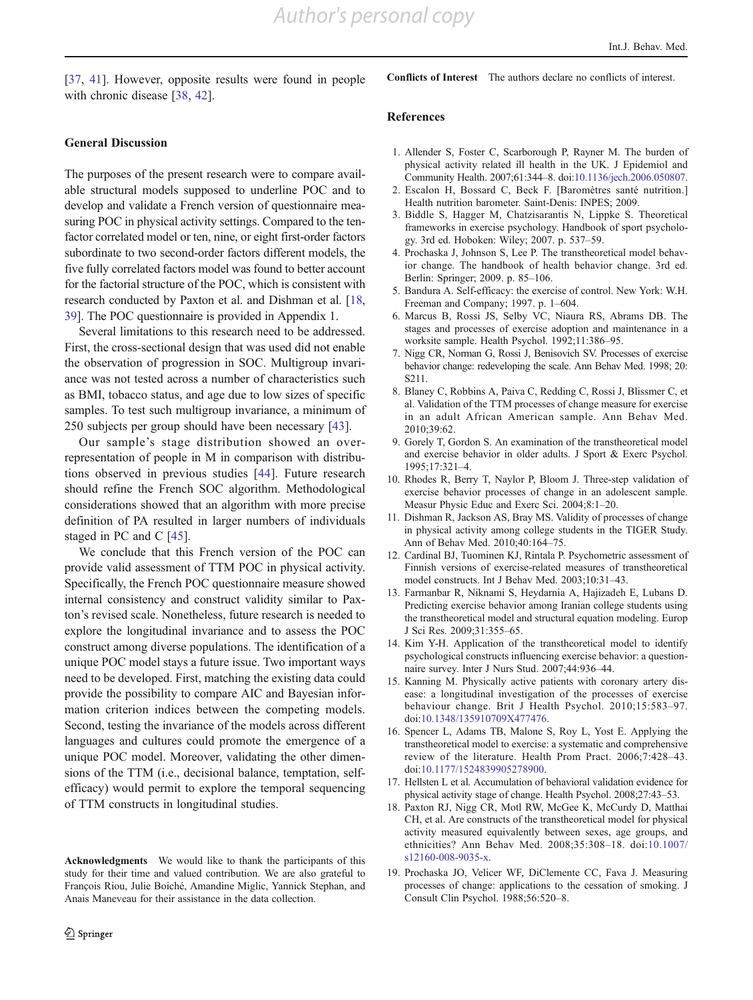<span id="page-9-0"></span>[\[37](#page-10-0), [41\]](#page-10-0). However, opposite results were found in people with chronic disease [[38,](#page-10-0) [42](#page-10-0)].

Conflicts of Interest The authors declare no conflicts of interest.

# General Discussion

The purposes of the present research were to compare available structural models supposed to underline POC and to develop and validate a French version of questionnaire measuring POC in physical activity settings. Compared to the tenfactor correlated model or ten, nine, or eight first-order factors subordinate to two second-order factors different models, the five fully correlated factors model was found to better account for the factorial structure of the POC, which is consistent with research conducted by Paxton et al. and Dishman et al. [18, [39\]](#page-10-0). The POC questionnaire is provided in Appendix 1.

Several limitations to this research need to be addressed. First, the cross-sectional design that was used did not enable the observation of progression in SOC. Multigroup invariance was not tested across a number of characteristics such as BMI, tobacco status, and age due to low sizes of specific samples. To test such multigroup invariance, a minimum of 250 subjects per group should have been necessary [[43\]](#page-10-0).

Our sample's stage distribution showed an overrepresentation of people in M in comparison with distributions observed in previous studies [\[44](#page-10-0)]. Future research should refine the French SOC algorithm. Methodological considerations showed that an algorithm with more precise definition of PA resulted in larger numbers of individuals staged in PC and C [\[45](#page-10-0)].

We conclude that this French version of the POC can provide valid assessment of TTM POC in physical activity. Specifically, the French POC questionnaire measure showed internal consistency and construct validity similar to Paxton's revised scale. Nonetheless, future research is needed to explore the longitudinal invariance and to assess the POC construct among diverse populations. The identification of a unique POC model stays a future issue. Two important ways need to be developed. First, matching the existing data could provide the possibility to compare AIC and Bayesian information criterion indices between the competing models. Second, testing the invariance of the models across different languages and cultures could promote the emergence of a unique POC model. Moreover, validating the other dimensions of the TTM (i.e., decisional balance, temptation, selfefficacy) would permit to explore the temporal sequencing of TTM constructs in longitudinal studies.

Acknowledgments We would like to thank the participants of this study for their time and valued contribution. We are also grateful to François Riou, Julie Boiché, Amandine Miglic, Yannick Stephan, and Anais Maneveau for their assistance in the data collection.

# References

- 1. Allender S, Foster C, Scarborough P, Rayner M. The burden of physical activity related ill health in the UK. J Epidemiol and Community Health. 2007;61:344–8. doi[:10.1136/jech.2006.050807](http://dx.doi.org/10.1136/jech.2006.050807).
- 2. Escalon H, Bossard C, Beck F. [Baromètres santé nutrition.] Health nutrition barometer. Saint-Denis: INPES; 2009.
- 3. Biddle S, Hagger M, Chatzisarantis N, Lippke S. Theoretical frameworks in exercise psychology. Handbook of sport psychology. 3rd ed. Hoboken: Wiley; 2007. p. 537–59.
- 4. Prochaska J, Johnson S, Lee P. The transtheoretical model behavior change. The handbook of health behavior change. 3rd ed. Berlin: Springer; 2009. p. 85–106.
- 5. Bandura A. Self-efficacy: the exercise of control. New York: W.H. Freeman and Company; 1997. p. 1–604.
- 6. Marcus B, Rossi JS, Selby VC, Niaura RS, Abrams DB. The stages and processes of exercise adoption and maintenance in a worksite sample. Health Psychol. 1992;11:386–95.
- 7. Nigg CR, Norman G, Rossi J, Benisovich SV. Processes of exercise behavior change: redeveloping the scale. Ann Behav Med. 1998; 20: S211.
- 8. Blaney C, Robbins A, Paiva C, Redding C, Rossi J, Blissmer C, et al. Validation of the TTM processes of change measure for exercise in an adult African American sample. Ann Behav Med. 2010;39:62.
- 9. Gorely T, Gordon S. An examination of the transtheoretical model and exercise behavior in older adults. J Sport & Exerc Psychol. 1995;17:321–4.
- 10. Rhodes R, Berry T, Naylor P, Bloom J. Three-step validation of exercise behavior processes of change in an adolescent sample. Measur Physic Educ and Exerc Sci. 2004;8:1–20.
- 11. Dishman R, Jackson AS, Bray MS. Validity of processes of change in physical activity among college students in the TIGER Study. Ann of Behav Med. 2010;40:164–75.
- 12. Cardinal BJ, Tuominen KJ, Rintala P. Psychometric assessment of Finnish versions of exercise-related measures of transtheoretical model constructs. Int J Behav Med. 2003;10:31–43.
- 13. Farmanbar R, Niknami S, Heydarnia A, Hajizadeh E, Lubans D. Predicting exercise behavior among Iranian college students using the transtheoretical model and structural equation modeling. Europ J Sci Res. 2009;31:355–65.
- 14. Kim Y-H. Application of the transtheoretical model to identify psychological constructs influencing exercise behavior: a questionnaire survey. Inter J Nurs Stud. 2007;44:936–44.
- 15. Kanning M. Physically active patients with coronary artery disease: a longitudinal investigation of the processes of exercise behaviour change. Brit J Health Psychol. 2010;15:583–97. doi[:10.1348/135910709X477476.](http://dx.doi.org/10.1348/135910709X477476)
- 16. Spencer L, Adams TB, Malone S, Roy L, Yost E. Applying the transtheoretical model to exercise: a systematic and comprehensive review of the literature. Health Prom Pract. 2006;7:428–43. doi[:10.1177/1524839905278900](http://dx.doi.org/10.1177/1524839905278900).
- 17. Hellsten L et al. Accumulation of behavioral validation evidence for physical activity stage of change. Health Psychol. 2008;27:43–53.
- 18. Paxton RJ, Nigg CR, Motl RW, McGee K, McCurdy D, Matthai CH, et al. Are constructs of the transtheoretical model for physical activity measured equivalently between sexes, age groups, and ethnicities? Ann Behav Med. 2008;35:308–18. doi:[10.1007/](http://dx.doi.org/10.1007/s12160-008-9035-x) [s12160-008-9035-x.](http://dx.doi.org/10.1007/s12160-008-9035-x)
- 19. Prochaska JO, Velicer WF, DiClemente CC, Fava J. Measuring processes of change: applications to the cessation of smoking. J Consult Clin Psychol. 1988;56:520–8.